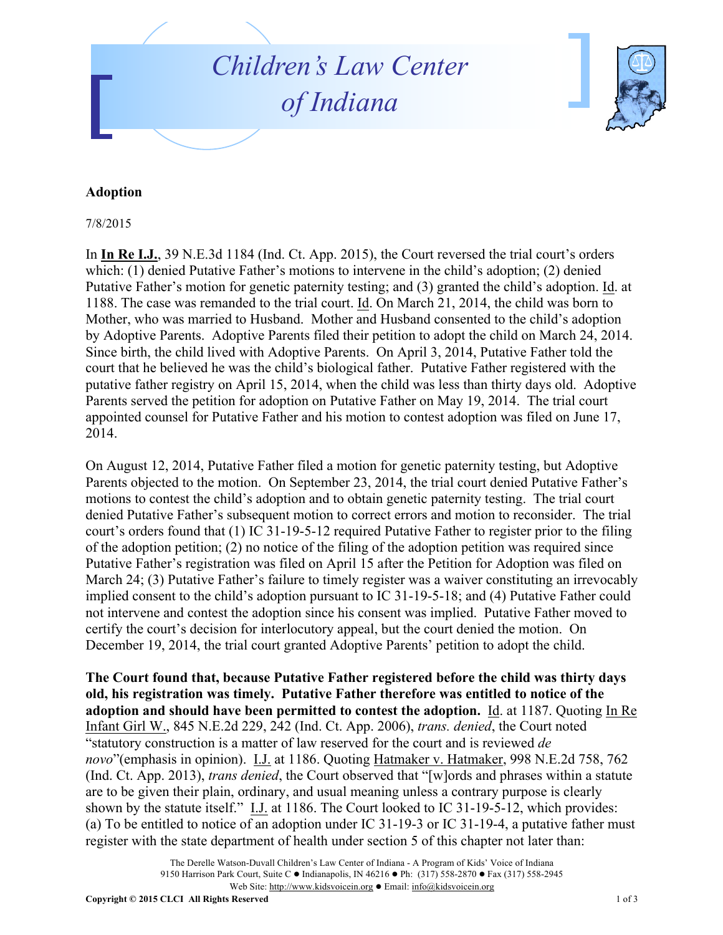## *Children ' s Law Center of Indiana*



## **Adoption**

7/8/2015

In **In Re I.J.**, 39 N.E.3d 1184 (Ind. Ct. App. 2015), the Court reversed the trial court's orders which: (1) denied Putative Father's motions to intervene in the child's adoption; (2) denied Putative Father's motion for genetic paternity testing; and (3) granted the child's adoption. Id. at 1188. The case was remanded to the trial court. Id. On March 21, 2014, the child was born to Mother, who was married to Husband. Mother and Husband consented to the child's adoption by Adoptive Parents. Adoptive Parents filed their petition to adopt the child on March 24, 2014. Since birth, the child lived with Adoptive Parents. On April 3, 2014, Putative Father told the court that he believed he was the child's biological father. Putative Father registered with the putative father registry on April 15, 2014, when the child was less than thirty days old. Adoptive Parents served the petition for adoption on Putative Father on May 19, 2014. The trial court appointed counsel for Putative Father and his motion to contest adoption was filed on June 17, 2014.

On August 12, 2014, Putative Father filed a motion for genetic paternity testing, but Adoptive Parents objected to the motion. On September 23, 2014, the trial court denied Putative Father's motions to contest the child's adoption and to obtain genetic paternity testing. The trial court denied Putative Father's subsequent motion to correct errors and motion to reconsider. The trial court's orders found that (1) IC 31-19-5-12 required Putative Father to register prior to the filing of the adoption petition; (2) no notice of the filing of the adoption petition was required since Putative Father's registration was filed on April 15 after the Petition for Adoption was filed on March 24; (3) Putative Father's failure to timely register was a waiver constituting an irrevocably implied consent to the child's adoption pursuant to IC 31-19-5-18; and (4) Putative Father could not intervene and contest the adoption since his consent was implied. Putative Father moved to certify the court's decision for interlocutory appeal, but the court denied the motion. On December 19, 2014, the trial court granted Adoptive Parents' petition to adopt the child.

**The Court found that, because Putative Father registered before the child was thirty days old, his registration was timely. Putative Father therefore was entitled to notice of the adoption and should have been permitted to contest the adoption.** Id. at 1187. Quoting In Re Infant Girl W., 845 N.E.2d 229, 242 (Ind. Ct. App. 2006), *trans. denied*, the Court noted "statutory construction is a matter of law reserved for the court and is reviewed *de novo*"(emphasis in opinion). I.J. at 1186. Quoting Hatmaker v. Hatmaker, 998 N.E.2d 758, 762 (Ind. Ct. App. 2013), *trans denied*, the Court observed that "[w]ords and phrases within a statute are to be given their plain, ordinary, and usual meaning unless a contrary purpose is clearly shown by the statute itself." I.J. at 1186. The Court looked to IC 31-19-5-12, which provides: (a) To be entitled to notice of an adoption under IC 31-19-3 or IC 31-19-4, a putative father must register with the state department of health under section 5 of this chapter not later than: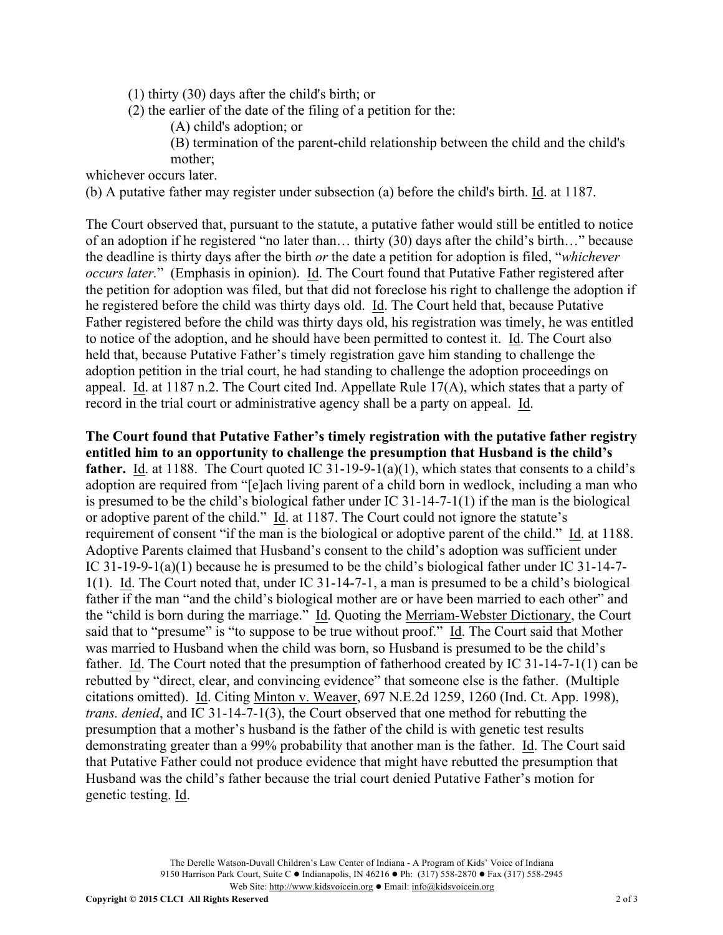- (1) thirty (30) days after the child's birth; or
- (2) the earlier of the date of the filing of a petition for the:
	- (A) child's adoption; or
	- (B) termination of the parent-child relationship between the child and the child's mother;

whichever occurs later.

(b) A putative father may register under subsection (a) before the child's birth. Id. at 1187.

The Court observed that, pursuant to the statute, a putative father would still be entitled to notice of an adoption if he registered "no later than… thirty (30) days after the child's birth…" because the deadline is thirty days after the birth *or* the date a petition for adoption is filed, "*whichever occurs later.*" (Emphasis in opinion). Id. The Court found that Putative Father registered after the petition for adoption was filed, but that did not foreclose his right to challenge the adoption if he registered before the child was thirty days old. Id. The Court held that, because Putative Father registered before the child was thirty days old, his registration was timely, he was entitled to notice of the adoption, and he should have been permitted to contest it. Id. The Court also held that, because Putative Father's timely registration gave him standing to challenge the adoption petition in the trial court, he had standing to challenge the adoption proceedings on appeal. Id. at 1187 n.2. The Court cited Ind. Appellate Rule 17(A), which states that a party of record in the trial court or administrative agency shall be a party on appeal. Id.

**The Court found that Putative Father's timely registration with the putative father registry entitled him to an opportunity to challenge the presumption that Husband is the child's father.** Id. at 1188. The Court quoted IC 31-19-9-1(a)(1), which states that consents to a child's adoption are required from "[e]ach living parent of a child born in wedlock, including a man who is presumed to be the child's biological father under IC 31-14-7-1(1) if the man is the biological or adoptive parent of the child."  $\underline{Id}$ . at 1187. The Court could not ignore the statute's requirement of consent "if the man is the biological or adoptive parent of the child." Id. at 1188. Adoptive Parents claimed that Husband's consent to the child's adoption was sufficient under IC 31-19-9-1(a)(1) because he is presumed to be the child's biological father under IC 31-14-7- 1(1). Id. The Court noted that, under IC 31-14-7-1, a man is presumed to be a child's biological father if the man "and the child's biological mother are or have been married to each other" and the "child is born during the marriage." Id. Quoting the Merriam-Webster Dictionary, the Court said that to "presume" is "to suppose to be true without proof." Id. The Court said that Mother was married to Husband when the child was born, so Husband is presumed to be the child's father. Id. The Court noted that the presumption of fatherhood created by IC 31-14-7-1(1) can be rebutted by "direct, clear, and convincing evidence" that someone else is the father. (Multiple citations omitted). Id. Citing Minton v. Weaver, 697 N.E.2d 1259, 1260 (Ind. Ct. App. 1998), *trans. denied*, and IC 31-14-7-1(3), the Court observed that one method for rebutting the presumption that a mother's husband is the father of the child is with genetic test results demonstrating greater than a 99% probability that another man is the father. Id. The Court said that Putative Father could not produce evidence that might have rebutted the presumption that Husband was the child's father because the trial court denied Putative Father's motion for genetic testing. Id.